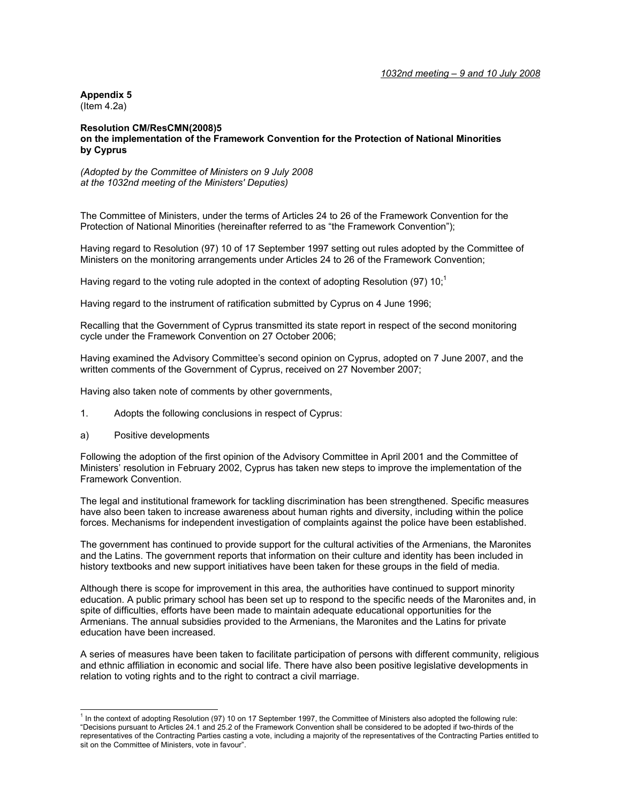*1032nd meeting – 9 and 10 July 2008*

**Appendix 5** 

(Item 4.2a)

## **Resolution CM/ResCMN(2008)5 on the implementation of the Framework Convention for the Protection of National Minorities by Cyprus**

*(Adopted by the Committee of Ministers on 9 July 2008 at the 1032nd meeting of the Ministers' Deputies)* 

The Committee of Ministers, under the terms of Articles 24 to 26 of the Framework Convention for the Protection of National Minorities (hereinafter referred to as "the Framework Convention");

Having regard to Resolution (97) 10 of 17 September 1997 setting out rules adopted by the Committee of Ministers on the monitoring arrangements under Articles 24 to 26 of the Framework Convention;

Having regard to the voting rule adopted in the context of adopting Resolution (97) 10;<sup>1</sup>

Having regard to the instrument of ratification submitted by Cyprus on 4 June 1996;

Recalling that the Government of Cyprus transmitted its state report in respect of the second monitoring cycle under the Framework Convention on 27 October 2006;

Having examined the Advisory Committee's second opinion on Cyprus, adopted on 7 June 2007, and the written comments of the Government of Cyprus, received on 27 November 2007;

Having also taken note of comments by other governments,

- 1. Adopts the following conclusions in respect of Cyprus:
- a) Positive developments

Following the adoption of the first opinion of the Advisory Committee in April 2001 and the Committee of Ministers' resolution in February 2002, Cyprus has taken new steps to improve the implementation of the Framework Convention.

The legal and institutional framework for tackling discrimination has been strengthened. Specific measures have also been taken to increase awareness about human rights and diversity, including within the police forces. Mechanisms for independent investigation of complaints against the police have been established.

The government has continued to provide support for the cultural activities of the Armenians, the Maronites and the Latins. The government reports that information on their culture and identity has been included in history textbooks and new support initiatives have been taken for these groups in the field of media.

Although there is scope for improvement in this area, the authorities have continued to support minority education. A public primary school has been set up to respond to the specific needs of the Maronites and, in spite of difficulties, efforts have been made to maintain adequate educational opportunities for the Armenians. The annual subsidies provided to the Armenians, the Maronites and the Latins for private education have been increased.

A series of measures have been taken to facilitate participation of persons with different community, religious and ethnic affiliation in economic and social life. There have also been positive legislative developments in relation to voting rights and to the right to contract a civil marriage.

<sup>1&</sup>lt;br><sup>1</sup> In the context of adopting Resolution (97) 10 on 17 September 1997, the Committee of Ministers also adopted the following rule: "Decisions pursuant to Articles 24.1 and 25.2 of the Framework Convention shall be considered to be adopted if two-thirds of the representatives of the Contracting Parties casting a vote, including a majority of the representatives of the Contracting Parties entitled to sit on the Committee of Ministers, vote in favour".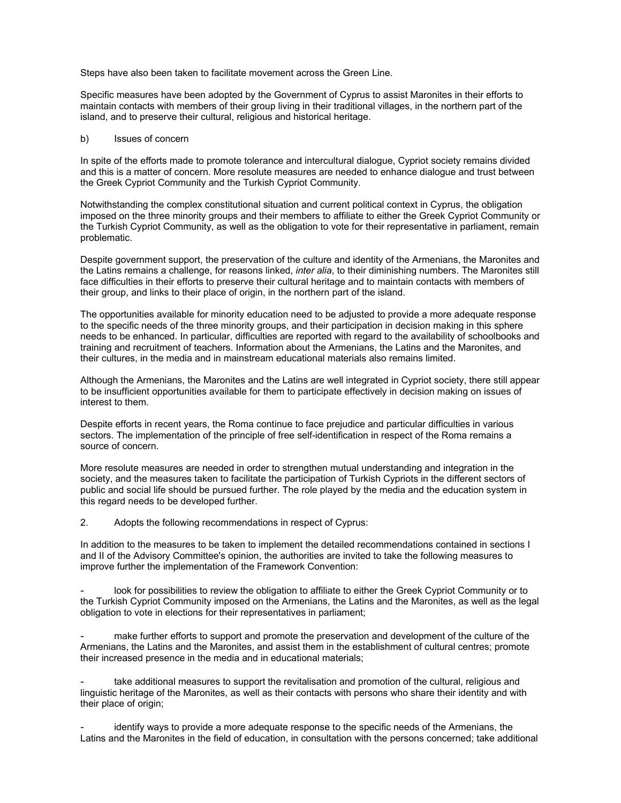Steps have also been taken to facilitate movement across the Green Line.

Specific measures have been adopted by the Government of Cyprus to assist Maronites in their efforts to maintain contacts with members of their group living in their traditional villages, in the northern part of the island, and to preserve their cultural, religious and historical heritage.

## b) Issues of concern

In spite of the efforts made to promote tolerance and intercultural dialogue, Cypriot society remains divided and this is a matter of concern. More resolute measures are needed to enhance dialogue and trust between the Greek Cypriot Community and the Turkish Cypriot Community.

Notwithstanding the complex constitutional situation and current political context in Cyprus, the obligation imposed on the three minority groups and their members to affiliate to either the Greek Cypriot Community or the Turkish Cypriot Community, as well as the obligation to vote for their representative in parliament, remain problematic.

Despite government support, the preservation of the culture and identity of the Armenians, the Maronites and the Latins remains a challenge, for reasons linked, *inter alia*, to their diminishing numbers. The Maronites still face difficulties in their efforts to preserve their cultural heritage and to maintain contacts with members of their group, and links to their place of origin, in the northern part of the island.

The opportunities available for minority education need to be adjusted to provide a more adequate response to the specific needs of the three minority groups, and their participation in decision making in this sphere needs to be enhanced. In particular, difficulties are reported with regard to the availability of schoolbooks and training and recruitment of teachers. Information about the Armenians, the Latins and the Maronites, and their cultures, in the media and in mainstream educational materials also remains limited.

Although the Armenians, the Maronites and the Latins are well integrated in Cypriot society, there still appear to be insufficient opportunities available for them to participate effectively in decision making on issues of interest to them.

Despite efforts in recent years, the Roma continue to face prejudice and particular difficulties in various sectors. The implementation of the principle of free self-identification in respect of the Roma remains a source of concern.

More resolute measures are needed in order to strengthen mutual understanding and integration in the society, and the measures taken to facilitate the participation of Turkish Cypriots in the different sectors of public and social life should be pursued further. The role played by the media and the education system in this regard needs to be developed further.

2. Adopts the following recommendations in respect of Cyprus:

In addition to the measures to be taken to implement the detailed recommendations contained in sections I and II of the Advisory Committee's opinion, the authorities are invited to take the following measures to improve further the implementation of the Framework Convention:

look for possibilities to review the obligation to affiliate to either the Greek Cypriot Community or to the Turkish Cypriot Community imposed on the Armenians, the Latins and the Maronites, as well as the legal obligation to vote in elections for their representatives in parliament;

make further efforts to support and promote the preservation and development of the culture of the Armenians, the Latins and the Maronites, and assist them in the establishment of cultural centres; promote their increased presence in the media and in educational materials;

take additional measures to support the revitalisation and promotion of the cultural, religious and linguistic heritage of the Maronites, as well as their contacts with persons who share their identity and with their place of origin;

identify ways to provide a more adequate response to the specific needs of the Armenians, the Latins and the Maronites in the field of education, in consultation with the persons concerned; take additional